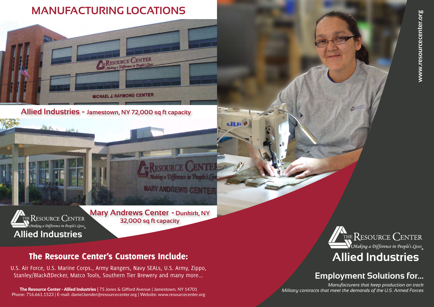## **Employment Solutions for...**

*Manufacturers that keep production on track*



The Resource Center - Allied Industries **|** 75 Jones & Gifford Avenue | Jamestown, NY 14701 Phone: 716.661.1523 | E-mail: daniel.bender@resourcecenter.org | Website: www.resourcecenter.org

## **MANUFACTURING LOCATIONS**



# **Allied Industries**

**Allied Industries - Jamestown, NY 72,000 sq ft capacity**

**Mary Andrews Center - Dunkirk, NY 32,000 sq ft capacity**

**KESOLIRCE** 

**Making a Difference in Peop** 

**MARY ANDREWS CENTE** 

un

## The Resource Center's Customers Include:

U.S. Air Force, U.S. Marine Corps., Army Rangers, Navy SEALs, U.S. Army, Zippo, Stanley/Black&Decker, Matco Tools, Southern Tier Brewery and many more...